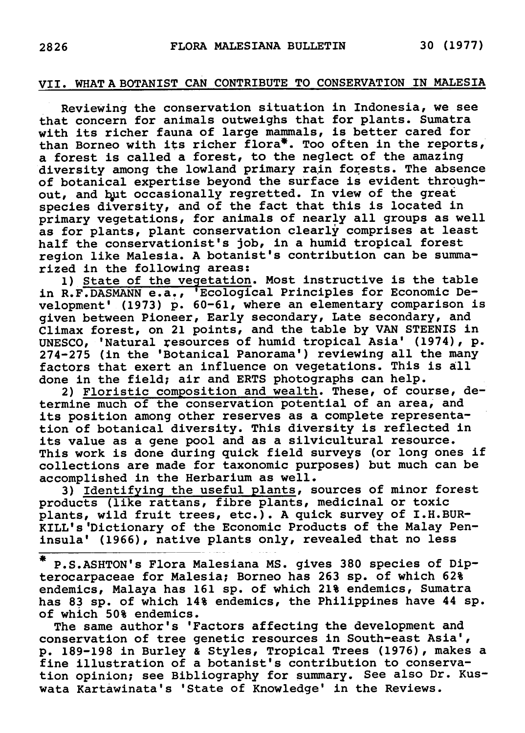## VII. Whata botanist can contribute to conservation in Malesia

Reviewing the conservation situation in Indonesia, we see that concern for animals outweighs that for plants. Sumatra with its richer fauna of large mammals, is better cared for than Borneo with its richer flora\*. Too often in the reports, <sup>a</sup> forest is called <sup>a</sup> forest, to the neglect of the amazing diversity among the lowland primary rain forests. The absence of botanical expertise beyond the surface is evident throughout, and but occasionally regretted. In view of the great species diversity, and of the fact that this is located in species diversity, and of the fact that this is located in<br>primary vegetations, for animals of nearly all groups as well primary vegetations, for animals of nearly all groups as wel<br>as for plants, plant conservation clearly comprises at least half the conservationist's job, in <sup>a</sup> humid tropical forest region like Malesia. <sup>A</sup> botanist's contribution can be summarized in the following areas:

1) State of the vegetation. Most instructive is the table in R.F. DASMANN e.a., 'Ecological Principles for Economic Development' (1973) p. 60-61, where an elementary comparison is given between Pioneer, Early secondary, Late secondary, and Climax forest, on <sup>21</sup> points, and the table by VAN STEENIS in UNESCO, 'Natural resources of humid tropical Asia' (1974), p. 274-275 (in the 'Botanical Panorama') reviewing all the many factors that exert an influence on vegetations. This is all done in the field; air and ERTS photographs can help.

2) Floristic composition and wealth. These, of course, determine much of the conservation potential of an area, and its position among other reserves as <sup>a</sup> complete representation of botanical diversity. This diversity is reflected in its value as <sup>a</sup> gene pool and as <sup>a</sup> silvicultural resource. This work is done during quick field surveys (or long ones if collections are made for taxonomic purposes) but much can be accomplished in the Herbarium as well.

3) Identifying the useful plants, sources of minor forest products (like rattans, fibre plants, medicinal or toxic plants, wild fruit trees, etc.). <sup>A</sup> quick survey of I.H. BUR-KILL's 'Dictionary of the Economic Products of the Malay Peninsula' (1966), native plants only, revealed that no less

\* P.S.ASHTON's Flora Malesiana MS. gives 380 species of Dip-P.S.ASHTON S FIOId Malesiand MS. Gives 300 species Of Di<br>terocarpaceae for Malesia; Borneo has 263 sp. of which 62% endemics, Malaya has <sup>161</sup> sp. of which 21% endemics, Sumatra has <sup>83</sup> sp. of which 14% endemics, the Philippines have <sup>44</sup> sp. of which 50% endemics.

The same author's 'Factors affecting the development and conservation of tree genetic resources in South-east Asia', p. 189-198 in Burley & Styles, Tropical Trees (1976), makes <sup>a</sup> fine illustration of <sup>a</sup> botanist's contribution to conservation opinion; see Bibliography for summary. See also Dr. Kuswata Kartawinata's 'State of Knowledge' in the Reviews.